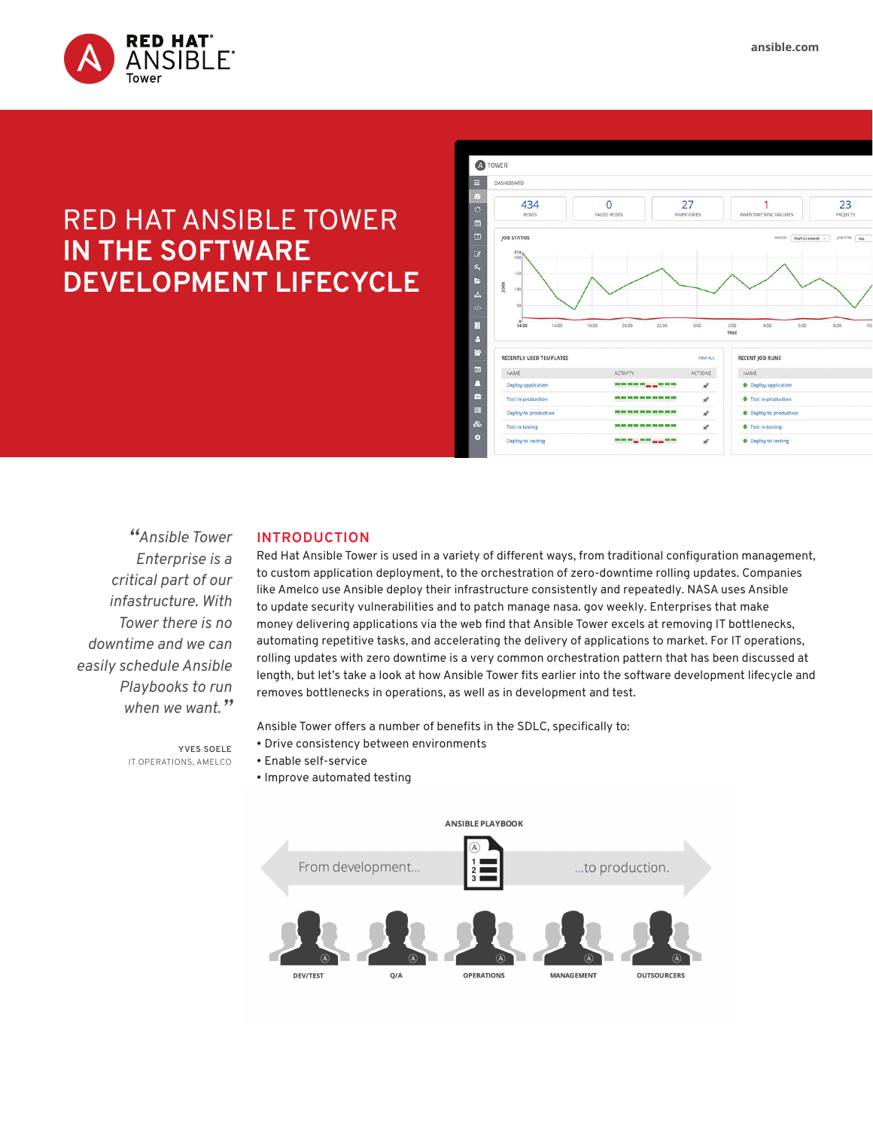

# RED HAT ANSIBLE TOWER **IN THE SOFTWARE DEVELOPMENT LIFECYCLE**



*"Ansible Tower Enterprise is a critical part of our infastructure. With Tower there is no downtime and we can easily schedule Ansible Playbooks to run when we want."*

#### **INTRODUCTION**

Red Hat Ansible Tower is used in a variety of different ways, from traditional configuration management, to custom application deployment, to the orchestration of zero-downtime rolling updates. Companies like Amelco use Ansible deploy their infrastructure consistently and repeatedly. NASA uses Ansible to update security vulnerabilities and to patch manage nasa. gov weekly. Enterprises that make money delivering applications via the web find that Ansible Tower excels at removing IT bottlenecks, automating repetitive tasks, and accelerating the delivery of applications to market. For IT operations, rolling updates with zero downtime is a very common orchestration pattern that has been discussed at length, but let's take a look at how Ansible Tower fits earlier into the software development lifecycle and removes bottlenecks in operations, as well as in development and test.

Ansible Tower offers a number of benefits in the SDLC, specifically to:

- Drive consistency between environments
- Enable self-service
- Improve automated testing



**YVES SOELE** IT OPERATIONS, AMELCO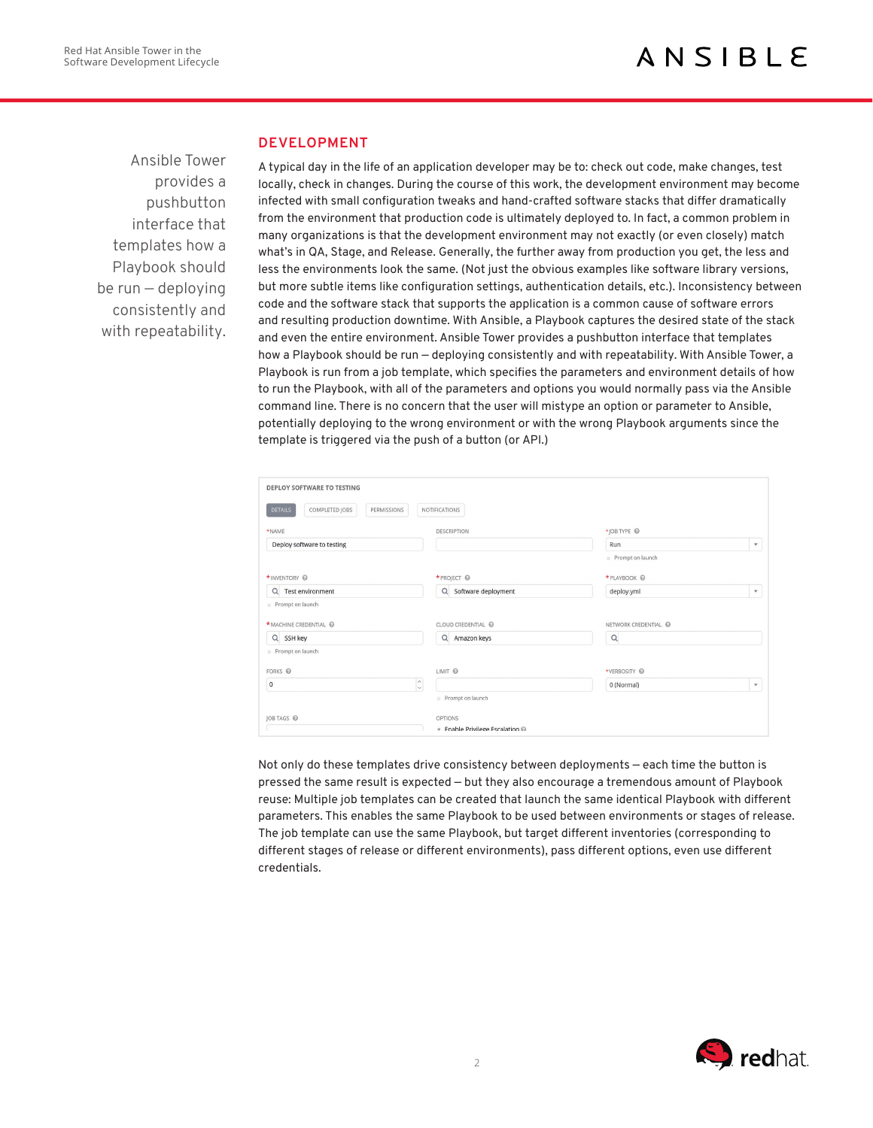Ansible Tower provides a pushbutton interface that templates how a Playbook should be run — deploying consistently and with repeatability.

### **DEVELOPMENT**

A typical day in the life of an application developer may be to: check out code, make changes, test locally, check in changes. During the course of this work, the development environment may become infected with small configuration tweaks and hand-crafted software stacks that differ dramatically from the environment that production code is ultimately deployed to. In fact, a common problem in many organizations is that the development environment may not exactly (or even closely) match what's in QA, Stage, and Release. Generally, the further away from production you get, the less and less the environments look the same. (Not just the obvious examples like software library versions, but more subtle items like configuration settings, authentication details, etc.). Inconsistency between code and the software stack that supports the application is a common cause of software errors and resulting production downtime. With Ansible, a Playbook captures the desired state of the stack and even the entire environment. Ansible Tower provides a pushbutton interface that templates how a Playbook should be run - deploying consistently and with repeatability. With Ansible Tower, a Playbook is run from a job template, which specifies the parameters and environment details of how to run the Playbook, with all of the parameters and options you would normally pass via the Ansible command line. There is no concern that the user will mistype an option or parameter to Ansible, potentially deploying to the wrong environment or with the wrong Playbook arguments since the template is triggered via the push of a button (or API.)

| <b>DEPLOY SOFTWARE TO TESTING</b>               |                                    |                           |              |
|-------------------------------------------------|------------------------------------|---------------------------|--------------|
| COMPLETED JOBS<br><b>DETAILS</b><br>PERMISSIONS | NOTIFICATIONS                      |                           |              |
| *NAME                                           | <b>DESCRIPTION</b>                 | *IOB TYPE @               |              |
| Deploy software to testing                      |                                    | Run                       | $\mathbf{v}$ |
|                                                 |                                    | <b>D</b> Prompt on launch |              |
| *INVENTORY @                                    | * PROJECT ©                        | *PLAYBOOK @               |              |
| Q Test environment                              | Q Software deployment              | deploy.yml                | $\mathbf{v}$ |
| <sup>o</sup> Prompt on launch                   |                                    |                           |              |
| * MACHINE CREDENTIAL @                          | CLOUD CREDENTIAL @                 | NETWORK CREDENTIAL @      |              |
| Q SSH key                                       | Q Amazon keys                      | $\alpha$                  |              |
| <sup>o</sup> Prompt on launch                   |                                    |                           |              |
| FORKS @                                         | LIMIT @                            | *VERBOSITY @              |              |
| $\hat{\cdot}$<br>$\mathbf 0$                    |                                    | 0 (Normal)                | $\mathbf{v}$ |
|                                                 | <b>Prompt on launch</b>            |                           |              |
| JOB TAGS @                                      | OPTIONS                            |                           |              |
|                                                 | <b>Enable Privilege Escalation</b> |                           |              |

Not only do these templates drive consistency between deployments — each time the button is pressed the same result is expected — but they also encourage a tremendous amount of Playbook reuse: Multiple job templates can be created that launch the same identical Playbook with different parameters. This enables the same Playbook to be used between environments or stages of release. The job template can use the same Playbook, but target different inventories (corresponding to different stages of release or different environments), pass different options, even use different credentials.

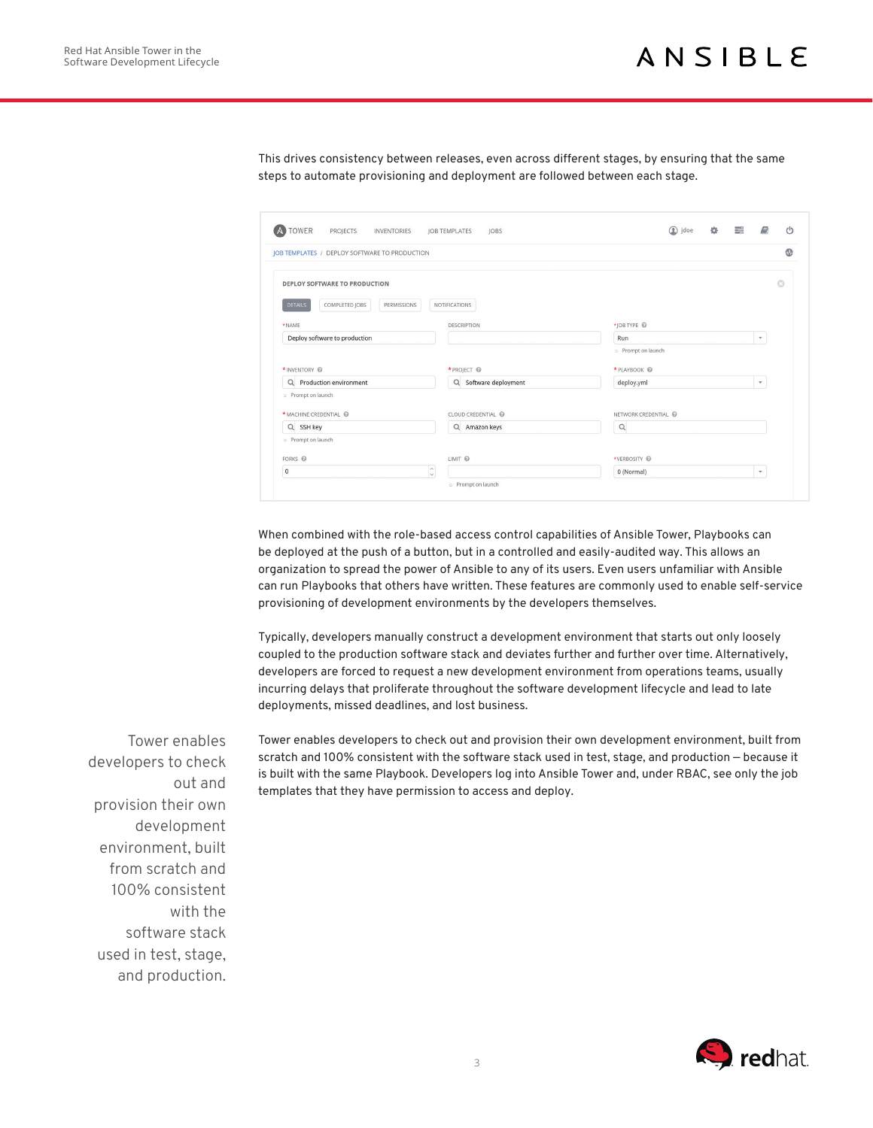This drives consistency between releases, even across different stages, by ensuring that the same steps to automate provisioning and deployment are followed between each stage.

| JOB TEMPLATES / DEPLOY SOFTWARE TO PRODUCTION   |                       |                               |              |
|-------------------------------------------------|-----------------------|-------------------------------|--------------|
| <b>DEPLOY SOFTWARE TO PRODUCTION</b>            |                       |                               | $\odot$      |
| COMPLETED JOBS<br><b>DETAILS</b><br>PERMISSIONS | <b>NOTIFICATIONS</b>  |                               |              |
| *NAME                                           | <b>DESCRIPTION</b>    | *JOB TYPE @                   |              |
| Deploy software to production                   |                       | Run                           | $\mathbf{v}$ |
|                                                 |                       | <sup>o</sup> Prompt on launch |              |
| * INVENTORY @                                   | * PROJECT @           | *PLAYBOOK @                   |              |
| Q Production environment                        | Q Software deployment | deploy.yml                    | $\mathbf v$  |
| <sup>o</sup> Prompt on launch                   |                       |                               |              |
| * MACHINE CREDENTIAL @                          | CLOUD CREDENTIAL      | NETWORK CREDENTIAL            |              |
| Q SSH key                                       | Q Amazon keys         | $\Omega$                      |              |
| <sup>o</sup> Prompt on launch                   |                       |                               |              |
| FORKS @                                         | LIMIT @               | *VERBOSITY @                  |              |
| $\mathsf{o}$                                    | $\sim$<br>M           | 0 (Normal)                    | $\mathbf{v}$ |

When combined with the role-based access control capabilities of Ansible Tower, Playbooks can be deployed at the push of a button, but in a controlled and easily-audited way. This allows an organization to spread the power of Ansible to any of its users. Even users unfamiliar with Ansible can run Playbooks that others have written. These features are commonly used to enable self-service provisioning of development environments by the developers themselves.

Typically, developers manually construct a development environment that starts out only loosely coupled to the production software stack and deviates further and further over time. Alternatively, developers are forced to request a new development environment from operations teams, usually incurring delays that proliferate throughout the software development lifecycle and lead to late deployments, missed deadlines, and lost business.

Tower enables developers to check out and provision their own development environment, built from scratch and 100% consistent with the software stack used in test, stage, and production — because it is built with the same Playbook. Developers log into Ansible Tower and, under RBAC, see only the job templates that they have permission to access and deploy.

Tower enables developers to check out and provision their own development environment, built from scratch and 100% consistent with the software stack used in test, stage, and production.

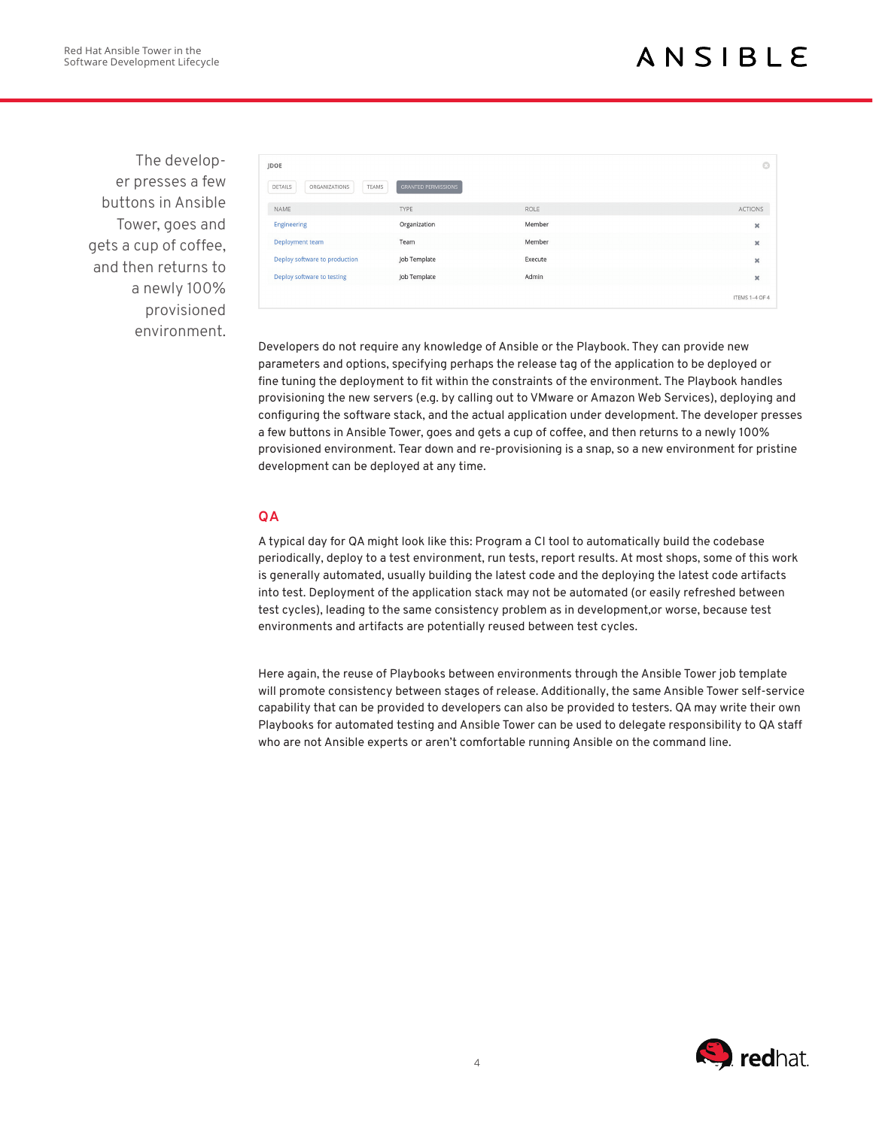The developer presses a few buttons in Ansible Tower, goes and gets a cup of coffee, and then returns to a newly 100% provisioned environment.

| JDOE                              |                            |         | $\odot$               |
|-----------------------------------|----------------------------|---------|-----------------------|
| DETAILS<br>ORGANIZATIONS<br>TEAMS | <b>GRANTED PERMISSIONS</b> |         |                       |
| NAME                              | <b>TYPE</b>                | ROLE    | ACTIONS               |
| <b>Engineering</b>                | Organization               | Member  | $\pmb{\times}$        |
| Deployment team                   | Team                       | Member  | $\boldsymbol{\times}$ |
| Deploy software to production     | Job Template               | Execute | ×                     |
| Deploy software to testing        | Job Template               | Admin   | $\pmb{\times}$        |
|                                   |                            |         | ITEMS 1-4 OF 4        |

Developers do not require any knowledge of Ansible or the Playbook. They can provide new parameters and options, specifying perhaps the release tag of the application to be deployed or fine tuning the deployment to fit within the constraints of the environment. The Playbook handles provisioning the new servers (e.g. by calling out to VMware or Amazon Web Services), deploying and configuring the software stack, and the actual application under development. The developer presses a few buttons in Ansible Tower, goes and gets a cup of coffee, and then returns to a newly 100% provisioned environment. Tear down and re-provisioning is a snap, so a new environment for pristine development can be deployed at any time.

## **QA**

A typical day for QA might look like this: Program a CI tool to automatically build the codebase periodically, deploy to a test environment, run tests, report results. At most shops, some of this work is generally automated, usually building the latest code and the deploying the latest code artifacts into test. Deployment of the application stack may not be automated (or easily refreshed between test cycles), leading to the same consistency problem as in development,or worse, because test environments and artifacts are potentially reused between test cycles.

Here again, the reuse of Playbooks between environments through the Ansible Tower job template will promote consistency between stages of release. Additionally, the same Ansible Tower self-service capability that can be provided to developers can also be provided to testers. QA may write their own Playbooks for automated testing and Ansible Tower can be used to delegate responsibility to QA staff who are not Ansible experts or aren't comfortable running Ansible on the command line.